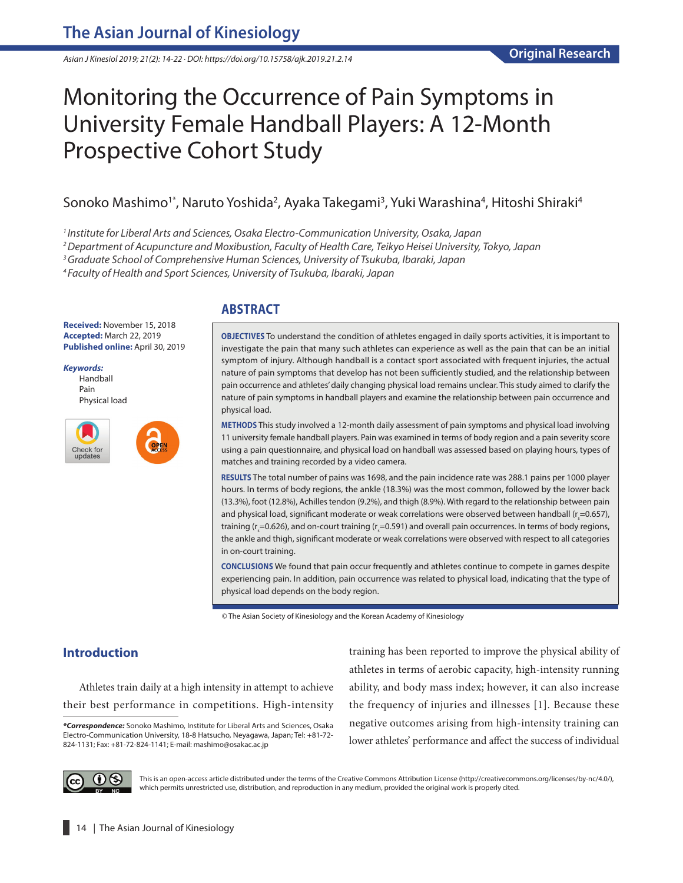*Asian J Kinesiol 2019; 21(2): 14-22 · DOI: https://doi.org/10.15758/ajk.2019.21.2.14*

# Monitoring the Occurrence of Pain Symptoms in University Female Handball Players: A 12-Month Prospective Cohort Study

# Sonoko Mashimo<sup>1\*</sup>, Naruto Yoshida<sup>2</sup>, Ayaka Takegami<sup>3</sup>, Yuki Warashina<sup>4</sup>, Hitoshi Shiraki<sup>4</sup>

*1 Institute for Liberal Arts and Sciences, Osaka Electro-Communication University, Osaka, Japan*

*2 Department of Acupuncture and Moxibustion, Faculty of Health Care, Teikyo Heisei University, Tokyo, Japan*

*3 Graduate School of Comprehensive Human Sciences, University of Tsukuba, Ibaraki, Japan*

*4 Faculty of Health and Sport Sciences, University of Tsukuba, Ibaraki, Japan*

#### **Received:** November 15, 2018 **Accepted:** March 22, 2019 **Published online:** April 30, 2019

*Keywords:* Handball Pain Physical load



## **ABSTRACT**

**OBJECTIVES** To understand the condition of athletes engaged in daily sports activities, it is important to investigate the pain that many such athletes can experience as well as the pain that can be an initial symptom of injury. Although handball is a contact sport associated with frequent injuries, the actual nature of pain symptoms that develop has not been sufficiently studied, and the relationship between pain occurrence and athletes' daily changing physical load remains unclear. This study aimed to clarify the nature of pain symptoms in handball players and examine the relationship between pain occurrence and physical load.

**METHODS** This study involved a 12-month daily assessment of pain symptoms and physical load involving 11 university female handball players. Pain was examined in terms of body region and a pain severity score using a pain questionnaire, and physical load on handball was assessed based on playing hours, types of matches and training recorded by a video camera.

**RESULTS** The total number of pains was 1698, and the pain incidence rate was 288.1 pains per 1000 player hours. In terms of body regions, the ankle (18.3%) was the most common, followed by the lower back (13.3%), foot (12.8%), Achilles tendon (9.2%), and thigh (8.9%). With regard to the relationship between pain and physical load, significant moderate or weak correlations were observed between handball (r $_{\zeta}$ =0.657), training (r<sub>s</sub>=0.626), and on-court training (r<sub>s</sub>=0.591) and overall pain occurrences. In terms of body regions, the ankle and thigh, significant moderate or weak correlations were observed with respect to all categories in on-court training.

**CONCLUSIONS** We found that pain occur frequently and athletes continue to compete in games despite experiencing pain. In addition, pain occurrence was related to physical load, indicating that the type of physical load depends on the body region.

© The Asian Society of Kinesiology and the Korean Academy of Kinesiology

# **Introduction**

Athletes train daily at a high intensity in attempt to achieve their best performance in competitions. High-intensity training has been reported to improve the physical ability of athletes in terms of aerobic capacity, high-intensity running ability, and body mass index; however, it can also increase the frequency of injuries and illnesses [1]. Because these negative outcomes arising from high-intensity training can lower athletes' performance and affect the success of individual



This is an open-access article distributed under the terms of the Creative Commons Attribution License (http://creativecommons.org/licenses/by-nc/4.0/), which permits unrestricted use, distribution, and reproduction in any medium, provided the original work is properly cited.

*<sup>\*</sup>Correspondence:* Sonoko Mashimo, Institute for Liberal Arts and Sciences, Osaka Electro-Communication University, 18-8 Hatsucho, Neyagawa, Japan; Tel: +81-72- 824-1131; Fax: +81-72-824-1141; E-mail: mashimo@osakac.ac.jp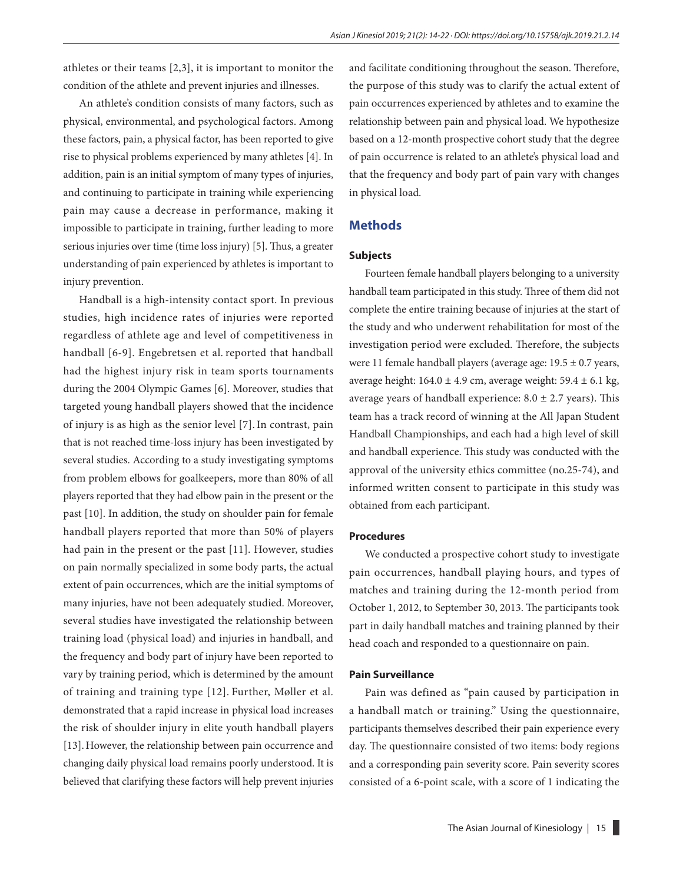athletes or their teams [2,3], it is important to monitor the condition of the athlete and prevent injuries and illnesses.

An athlete's condition consists of many factors, such as physical, environmental, and psychological factors. Among these factors, pain, a physical factor, has been reported to give rise to physical problems experienced by many athletes [4]. In addition, pain is an initial symptom of many types of injuries, and continuing to participate in training while experiencing pain may cause a decrease in performance, making it impossible to participate in training, further leading to more serious injuries over time (time loss injury) [5]. Thus, a greater understanding of pain experienced by athletes is important to injury prevention.

Handball is a high-intensity contact sport. In previous studies, high incidence rates of injuries were reported regardless of athlete age and level of competitiveness in handball [6-9]. Engebretsen et al. reported that handball had the highest injury risk in team sports tournaments during the 2004 Olympic Games [6]. Moreover, studies that targeted young handball players showed that the incidence of injury is as high as the senior level [7].In contrast, pain that is not reached time-loss injury has been investigated by several studies. According to a study investigating symptoms from problem elbows for goalkeepers, more than 80% of all players reported that they had elbow pain in the present or the past [10]. In addition, the study on shoulder pain for female handball players reported that more than 50% of players had pain in the present or the past [11]. However, studies on pain normally specialized in some body parts, the actual extent of pain occurrences, which are the initial symptoms of many injuries, have not been adequately studied. Moreover, several studies have investigated the relationship between training load (physical load) and injuries in handball, and the frequency and body part of injury have been reported to vary by training period, which is determined by the amount of training and training type [12]. Further, Møller et al. demonstrated that a rapid increase in physical load increases the risk of shoulder injury in elite youth handball players [13].However, the relationship between pain occurrence and changing daily physical load remains poorly understood. It is believed that clarifying these factors will help prevent injuries and facilitate conditioning throughout the season. Therefore, the purpose of this study was to clarify the actual extent of pain occurrences experienced by athletes and to examine the relationship between pain and physical load. We hypothesize based on a 12-month prospective cohort study that the degree of pain occurrence is related to an athlete's physical load and that the frequency and body part of pain vary with changes in physical load.

#### **Methods**

#### **Subjects**

Fourteen female handball players belonging to a university handball team participated in this study. Three of them did not complete the entire training because of injuries at the start of the study and who underwent rehabilitation for most of the investigation period were excluded. Therefore, the subjects were 11 female handball players (average age: 19.5 ± 0.7 years, average height:  $164.0 \pm 4.9$  cm, average weight:  $59.4 \pm 6.1$  kg, average years of handball experience:  $8.0 \pm 2.7$  years). This team has a track record of winning at the All Japan Student Handball Championships, and each had a high level of skill and handball experience. This study was conducted with the approval of the university ethics committee (no.25-74), and informed written consent to participate in this study was obtained from each participant.

#### **Procedures**

We conducted a prospective cohort study to investigate pain occurrences, handball playing hours, and types of matches and training during the 12-month period from October 1, 2012, to September 30, 2013. The participants took part in daily handball matches and training planned by their head coach and responded to a questionnaire on pain.

#### **Pain Surveillance**

Pain was defined as "pain caused by participation in a handball match or training." Using the questionnaire, participants themselves described their pain experience every day. The questionnaire consisted of two items: body regions and a corresponding pain severity score. Pain severity scores consisted of a 6-point scale, with a score of 1 indicating the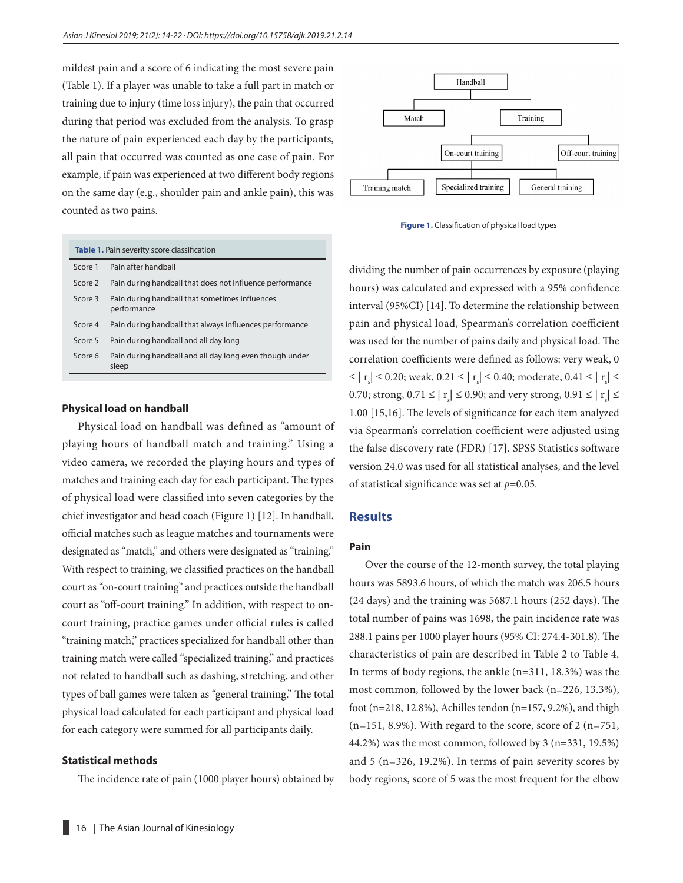mildest pain and a score of 6 indicating the most severe pain (Table 1). If a player was unable to take a full part in match or training due to injury (time loss injury), the pain that occurred during that period was excluded from the analysis. To grasp the nature of pain experienced each day by the participants, all pain that occurred was counted as one case of pain. For example, if pain was experienced at two different body regions on the same day (e.g., shoulder pain and ankle pain), this was counted as two pains.



**Figure 1.** Classification of physical load types

| Table 1. Pain severity score classification |                                                                  |  |  |  |  |  |  |
|---------------------------------------------|------------------------------------------------------------------|--|--|--|--|--|--|
| Score 1                                     | Pain after handball                                              |  |  |  |  |  |  |
| Score 2                                     | Pain during handball that does not influence performance         |  |  |  |  |  |  |
| Score 3                                     | Pain during handball that sometimes influences<br>performance    |  |  |  |  |  |  |
| Score 4                                     | Pain during handball that always influences performance          |  |  |  |  |  |  |
| Score 5                                     | Pain during handball and all day long                            |  |  |  |  |  |  |
| Score 6                                     | Pain during handball and all day long even though under<br>sleep |  |  |  |  |  |  |

#### **Physical load on handball**

Physical load on handball was defined as "amount of playing hours of handball match and training." Using a video camera, we recorded the playing hours and types of matches and training each day for each participant. The types of physical load were classified into seven categories by the chief investigator and head coach (Figure 1) [12]. In handball, official matches such as league matches and tournaments were designated as "match," and others were designated as "training." With respect to training, we classified practices on the handball court as "on-court training" and practices outside the handball court as "off-court training." In addition, with respect to oncourt training, practice games under official rules is called "training match," practices specialized for handball other than training match were called "specialized training," and practices not related to handball such as dashing, stretching, and other types of ball games were taken as "general training." The total physical load calculated for each participant and physical load for each category were summed for all participants daily.

#### **Statistical methods**

The incidence rate of pain (1000 player hours) obtained by

dividing the number of pain occurrences by exposure (playing hours) was calculated and expressed with a 95% confidence interval (95%CI) [14]. To determine the relationship between pain and physical load, Spearman's correlation coefficient was used for the number of pains daily and physical load. The correlation coefficients were defined as follows: very weak, 0  $\leq |r_{\rm s}| \leq 0.20$ ; weak,  $0.21 \leq |r_{\rm s}| \leq 0.40$ ; moderate,  $0.41 \leq |r_{\rm s}| \leq 0.40$ 0.70; strong,  $0.71 \le |\mathbf{r}_s| \le 0.90$ ; and very strong,  $0.91 \le |\mathbf{r}_s| \le$ 1.00 [15,16]. The levels of significance for each item analyzed via Spearman's correlation coefficient were adjusted using the false discovery rate (FDR) [17]. SPSS Statistics software version 24.0 was used for all statistical analyses, and the level of statistical significance was set at *p*=0.05.

#### **Results**

#### **Pain**

Over the course of the 12-month survey, the total playing hours was 5893.6 hours, of which the match was 206.5 hours (24 days) and the training was 5687.1 hours (252 days). The total number of pains was 1698, the pain incidence rate was 288.1 pains per 1000 player hours (95% CI: 274.4-301.8). The characteristics of pain are described in Table 2 to Table 4. In terms of body regions, the ankle (n=311, 18.3%) was the most common, followed by the lower back (n=226, 13.3%), foot (n=218, 12.8%), Achilles tendon (n=157, 9.2%), and thigh (n=151, 8.9%). With regard to the score, score of 2 (n=751, 44.2%) was the most common, followed by 3 (n=331, 19.5%) and 5 (n=326, 19.2%). In terms of pain severity scores by body regions, score of 5 was the most frequent for the elbow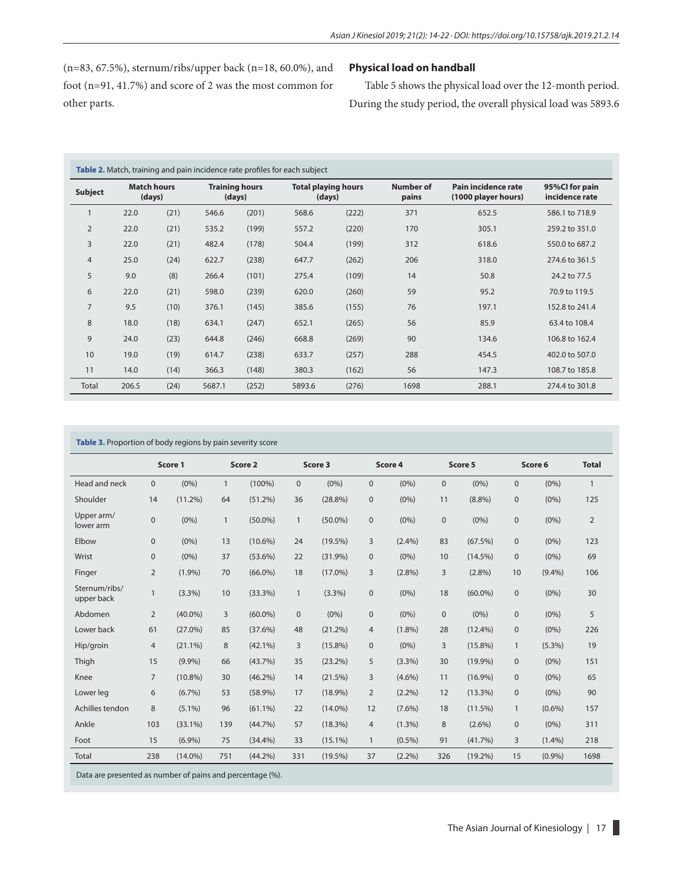(n=83, 67.5%), sternum/ribs/upper back (n=18, 60.0%), and foot (n=91, 41.7%) and score of 2 was the most common for other parts.

## **Physical load on handball**

Table 5 shows the physical load over the 12-month period. During the study period, the overall physical load was 5893.6

| Table 2. Match, training and pain incidence rate profiles for each subject |                              |      |                                 |       |                                      |       |                    |                                            |                                  |  |  |  |
|----------------------------------------------------------------------------|------------------------------|------|---------------------------------|-------|--------------------------------------|-------|--------------------|--------------------------------------------|----------------------------------|--|--|--|
| <b>Subject</b>                                                             | <b>Match hours</b><br>(days) |      | <b>Training hours</b><br>(days) |       | <b>Total playing hours</b><br>(days) |       | Number of<br>pains | Pain incidence rate<br>(1000 player hours) | 95%CI for pain<br>incidence rate |  |  |  |
|                                                                            | 22.0                         | (21) | 546.6                           | (201) | 568.6                                | (222) | 371                | 652.5                                      | 586.1 to 718.9                   |  |  |  |
| $\overline{2}$                                                             | 22.0                         | (21) | 535.2                           | (199) | 557.2                                | (220) | 170                | 305.1                                      | 259.2 to 351.0                   |  |  |  |
| 3                                                                          | 22.0                         | (21) | 482.4                           | (178) | 504.4                                | (199) | 312                | 618.6                                      | 550.0 to 687.2                   |  |  |  |
| $\overline{4}$                                                             | 25.0                         | (24) | 622.7                           | (238) | 647.7                                | (262) | 206                | 318.0                                      | 274.6 to 361.5                   |  |  |  |
| 5                                                                          | 9.0                          | (8)  | 266.4                           | (101) | 275.4                                | (109) | 14                 | 50.8                                       | 24.2 to 77.5                     |  |  |  |
| 6                                                                          | 22.0                         | (21) | 598.0                           | (239) | 620.0                                | (260) | 59                 | 95.2                                       | 70.9 to 119.5                    |  |  |  |
| 7                                                                          | 9.5                          | (10) | 376.1                           | (145) | 385.6                                | (155) | 76                 | 197.1                                      | 152.8 to 241.4                   |  |  |  |
| 8                                                                          | 18.0                         | (18) | 634.1                           | (247) | 652.1                                | (265) | 56                 | 85.9                                       | 63.4 to 108.4                    |  |  |  |
| 9                                                                          | 24.0                         | (23) | 644.8                           | (246) | 668.8                                | (269) | 90                 | 134.6                                      | 106.8 to 162.4                   |  |  |  |
| 10                                                                         | 19.0                         | (19) | 614.7                           | (238) | 633.7                                | (257) | 288                | 454.5                                      | 402.0 to 507.0                   |  |  |  |
| 11                                                                         | 14.0                         | (14) | 366.3                           | (148) | 380.3                                | (162) |                    | 147.3                                      | 108.7 to 185.8                   |  |  |  |
| <b>Total</b>                                                               | 206.5                        | (24) | 5687.1                          | (252) | 5893.6                               | (276) | 1698               | 288.1                                      | 274.4 to 301.8                   |  |  |  |

|                             | Score 1        |            | Score 2      |            |              | Score 3    |                | Score 4   |              | Score 5    |              | Score 6   |                |
|-----------------------------|----------------|------------|--------------|------------|--------------|------------|----------------|-----------|--------------|------------|--------------|-----------|----------------|
| Head and neck               | $\mathbf{0}$   | $(0\%)$    | $\mathbf{1}$ | $(100\%)$  | $\mathbf{0}$ | $(0\%)$    | $\mathbf{0}$   | (0% )     | $\mathbf{0}$ | $(0\%)$    | $\mathbf{0}$ | (0% )     | $\mathbf{1}$   |
| Shoulder                    | 14             | $(11.2\%)$ | 64           | $(51.2\%)$ | 36           | $(28.8\%)$ | $\mathbf{0}$   | $(0\%)$   | 11           | $(8.8\%)$  | $\mathbf{0}$ | $(0\%)$   | 125            |
| Upper arm/<br>lower arm     | $\mathbf{0}$   | $(0\%)$    | $\mathbf{1}$ | $(50.0\%)$ | $\mathbf{1}$ | $(50.0\%)$ | $\mathbf{0}$   | $(0\%)$   | $\mathbf{0}$ | $(0\%)$    | $\mathbf{0}$ | $(0\%)$   | $\overline{2}$ |
| Elbow                       | $\mathbf{0}$   | $(0\%)$    | 13           | $(10.6\%)$ | 24           | $(19.5\%)$ | 3              | $(2.4\%)$ | 83           | (67.5%)    | $\mathbf{0}$ | (0% )     | 123            |
| Wrist                       | $\mathbf 0$    | $(0\%)$    | 37           | $(53.6\%)$ | 22           | $(31.9\%)$ | $\mathbf 0$    | (0% )     | 10           | $(14.5\%)$ | $\mathbf 0$  | (0% )     | 69             |
| Finger                      | 2              | $(1.9\%)$  | 70           | $(66.0\%)$ | 18           | $(17.0\%)$ | 3              | $(2.8\%)$ | 3            | $(2.8\%)$  | 10           | $(9.4\%)$ | 106            |
| Sternum/ribs/<br>upper back | $\mathbf{1}$   | $(3.3\%)$  | 10           | (33.3%)    | $\mathbf{1}$ | (3.3%)     | $\mathbf{0}$   | $(0\%)$   | 18           | $(60.0\%)$ | $\mathbf{0}$ | $(0\%)$   | 30             |
| Abdomen                     | 2              | $(40.0\%)$ | 3            | $(60.0\%)$ | $\mathbf{0}$ | $(0\%)$    | $\mathbf{0}$   | $(0\%)$   | $\mathbf{0}$ | $(0\%)$    | $\mathbf{0}$ | $(0\%)$   | 5              |
| Lower back                  | 61             | $(27.0\%)$ | 85           | $(37.6\%)$ | 48           | (21.2%)    | $\overline{4}$ | $(1.8\%)$ | 28           | $(12.4\%)$ | $\mathbf{0}$ | $(0\%)$   | 226            |
| Hip/groin                   | $\overline{4}$ | $(21.1\%)$ | 8            | $(42.1\%)$ | 3            | $(15.8\%)$ | $\mathbf{0}$   | $(0\%)$   | 3            | $(15.8\%)$ | $\mathbf{1}$ | $(5.3\%)$ | 19             |
| Thigh                       | 15             | $(9.9\%)$  | 66           | (43.7%)    | 35           | $(23.2\%)$ | 5              | $(3.3\%)$ | 30           | $(19.9\%)$ | $\mathbf{0}$ | $(0\%)$   | 151            |
| Knee                        | $\overline{7}$ | $(10.8\%)$ | 30           | $(46.2\%)$ | 14           | (21.5%)    | 3              | $(4.6\%)$ | 11           | $(16.9\%)$ | $\mathbf{0}$ | $(0\%)$   | 65             |
| Lower leg                   | 6              | $(6.7\%)$  | 53           | $(58.9\%)$ | 17           | $(18.9\%)$ | $\overline{2}$ | $(2.2\%)$ | 12           | $(13.3\%)$ | $\mathbf{0}$ | $(0\%)$   | 90             |
| Achilles tendon             | 8              | $(5.1\%)$  | 96           | $(61.1\%)$ | 22           | $(14.0\%)$ | 12             | $(7.6\%)$ | 18           | (11.5%)    | $\mathbf{1}$ | $(0.6\%)$ | 157            |
| Ankle                       | 103            | $(33.1\%)$ | 139          | (44.7%)    | 57           | (18.3%)    | $\overline{4}$ | $(1.3\%)$ | 8            | $(2.6\%)$  | $\pmb{0}$    | $(0\%)$   | 311            |
| Foot                        | 15             | $(6.9\%)$  | 75           | $(34.4\%)$ | 33           | $(15.1\%)$ | $\mathbf{1}$   | $(0.5\%)$ | 91           | (41.7%)    | 3            | $(1.4\%)$ | 218            |
| <b>Total</b>                | 238            | $(14.0\%)$ | 751          | $(44.2\%)$ | 331          | $(19.5\%)$ | 37             | $(2.2\%)$ | 326          | $(19.2\%)$ | 15           | (0.9%     | 1698           |

Data are presented as number of pains and percentage (%).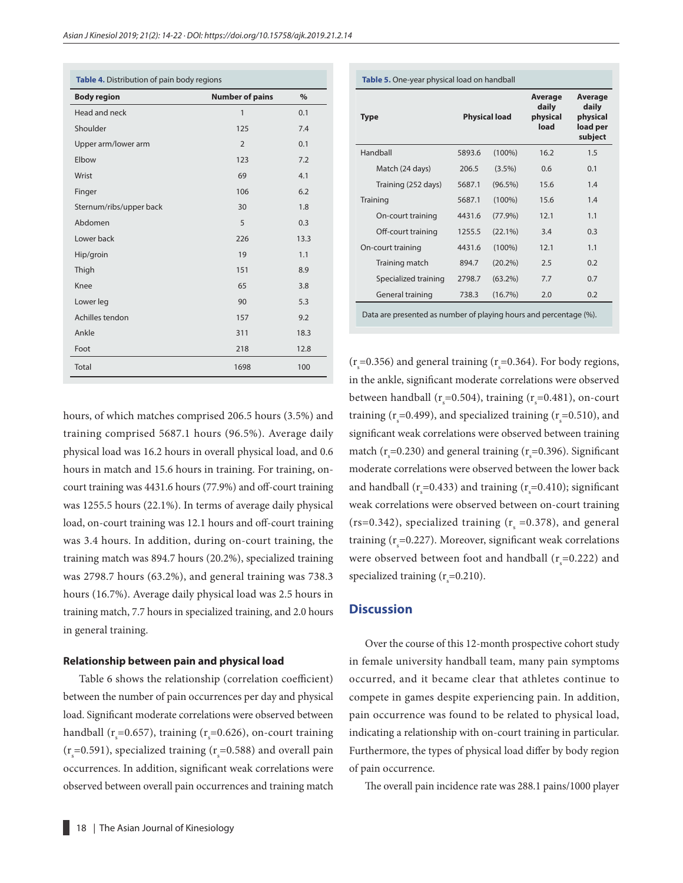| Table 4. Distribution of pain body regions |                        |      |  |  |  |  |  |
|--------------------------------------------|------------------------|------|--|--|--|--|--|
| <b>Body region</b>                         | <b>Number of pains</b> | $\%$ |  |  |  |  |  |
| Head and neck                              | $\mathbf{1}$           | 0.1  |  |  |  |  |  |
| Shoulder                                   | 125                    | 7.4  |  |  |  |  |  |
| Upper arm/lower arm                        | $\overline{2}$         | 0.1  |  |  |  |  |  |
| Elbow                                      | 123                    | 7.2  |  |  |  |  |  |
| Wrist                                      | 69                     | 4.1  |  |  |  |  |  |
| Finger                                     | 106                    | 6.2  |  |  |  |  |  |
| Sternum/ribs/upper back                    | 30                     | 1.8  |  |  |  |  |  |
| Abdomen                                    | 5                      | 0.3  |  |  |  |  |  |
| Lower back                                 | 226                    | 13.3 |  |  |  |  |  |
| Hip/groin                                  | 19                     | 1.1  |  |  |  |  |  |
| Thigh                                      | 151                    | 8.9  |  |  |  |  |  |
| Knee                                       | 65                     | 3.8  |  |  |  |  |  |
| Lower leg                                  | 90                     | 5.3  |  |  |  |  |  |
| Achilles tendon                            | 157                    | 9.2  |  |  |  |  |  |
| Ankle                                      | 311                    | 18.3 |  |  |  |  |  |
| Foot                                       | 218                    | 12.8 |  |  |  |  |  |
| <b>Total</b>                               | 1698                   | 100  |  |  |  |  |  |

hours, of which matches comprised 206.5 hours (3.5%) and training comprised 5687.1 hours (96.5%). Average daily physical load was 16.2 hours in overall physical load, and 0.6 hours in match and 15.6 hours in training. For training, oncourt training was 4431.6 hours (77.9%) and off-court training was 1255.5 hours (22.1%). In terms of average daily physical load, on-court training was 12.1 hours and off-court training was 3.4 hours. In addition, during on-court training, the training match was 894.7 hours (20.2%), specialized training was 2798.7 hours (63.2%), and general training was 738.3 hours (16.7%). Average daily physical load was 2.5 hours in training match, 7.7 hours in specialized training, and 2.0 hours in general training.

#### **Relationship between pain and physical load**

Table 6 shows the relationship (correlation coefficient) between the number of pain occurrences per day and physical load. Significant moderate correlations were observed between handball ( $r_s$ =0.657), training ( $r_s$ =0.626), on-court training  $(r<sub>s</sub>=0.591)$ , specialized training  $(r<sub>s</sub>=0.588)$  and overall pain occurrences. In addition, significant weak correlations were observed between overall pain occurrences and training match

| <b>Type</b>          |        | <b>Physical load</b> | Average<br>daily<br>physical<br>load | Average<br>daily<br>physical<br>load per<br>subject |  |
|----------------------|--------|----------------------|--------------------------------------|-----------------------------------------------------|--|
| Handball             | 5893.6 | $(100\%)$            | 16.2                                 | 1.5                                                 |  |
| Match (24 days)      | 206.5  | $(3.5\%)$            | 0.6                                  | 0.1                                                 |  |
| Training (252 days)  | 5687.1 | $(96.5\%)$           | 15.6                                 | 1.4                                                 |  |
| Training             | 5687.1 | $(100\%)$            | 15.6                                 | 1.4                                                 |  |
| On-court training    | 4431.6 | $(77.9\%)$           | 12.1                                 | 1.1                                                 |  |
| Off-court training   | 1255.5 | $(22.1\%)$           | 3.4                                  | 0.3                                                 |  |
| On-court training    | 4431.6 | $(100\%)$            | 12.1                                 | 1.1                                                 |  |
| Training match       | 894.7  | $(20.2\%)$           | 2.5                                  | 0.2                                                 |  |
| Specialized training | 2798.7 | $(63.2\%)$           | 7.7                                  | 0.7                                                 |  |
| General training     | 738.3  | $(16.7\%)$           | 2.0                                  | 0.2                                                 |  |

**Table 5.** One-year physical load on handball

( $r_s$ =0.356) and general training ( $r_s$ =0.364). For body regions, in the ankle, significant moderate correlations were observed between handball ( $r_s$ =0.504), training ( $r_s$ =0.481), on-court training ( $r_s$ =0.499), and specialized training ( $r_s$ =0.510), and significant weak correlations were observed between training match ( $r_s$ =0.230) and general training ( $r_s$ =0.396). Significant moderate correlations were observed between the lower back and handball ( $r_s$ =0.433) and training ( $r_s$ =0.410); significant weak correlations were observed between on-court training (rs=0.342), specialized training ( $r_s$  =0.378), and general training ( $r_s$ =0.227). Moreover, significant weak correlations were observed between foot and handball ( $r_s$ =0.222) and specialized training ( $r_s$ =0.210).

#### **Discussion**

Over the course of this 12-month prospective cohort study in female university handball team, many pain symptoms occurred, and it became clear that athletes continue to compete in games despite experiencing pain. In addition, pain occurrence was found to be related to physical load, indicating a relationship with on-court training in particular. Furthermore, the types of physical load differ by body region of pain occurrence.

The overall pain incidence rate was 288.1 pains/1000 player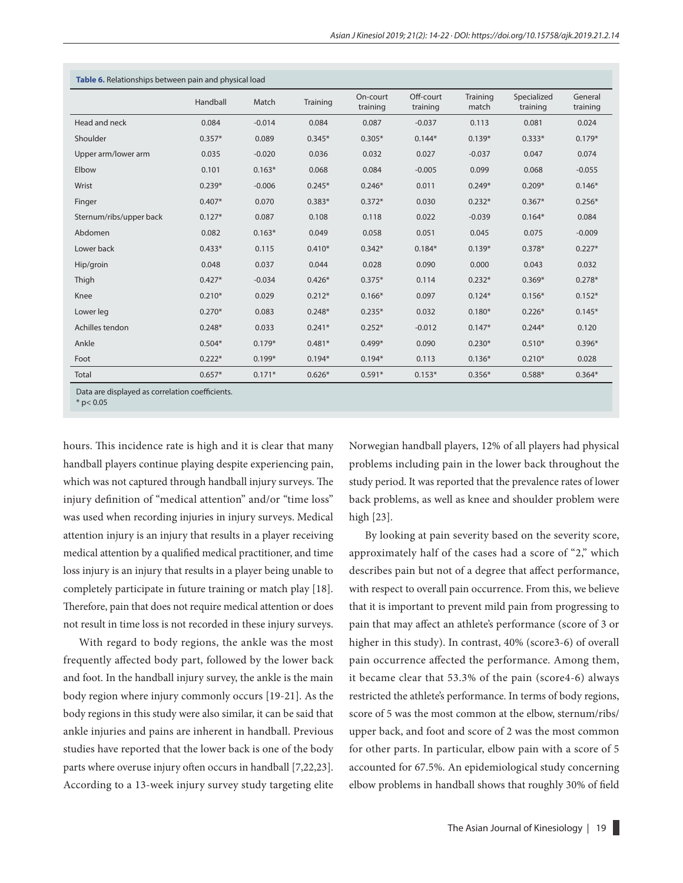| Table 6. Relationships between pain and physical load |          |          |          |                      |                       |                   |                         |                     |  |  |
|-------------------------------------------------------|----------|----------|----------|----------------------|-----------------------|-------------------|-------------------------|---------------------|--|--|
|                                                       | Handball | Match    | Training | On-court<br>training | Off-court<br>training | Training<br>match | Specialized<br>training | General<br>training |  |  |
| Head and neck                                         | 0.084    | $-0.014$ | 0.084    | 0.087                | $-0.037$              | 0.113             | 0.081                   | 0.024               |  |  |
| Shoulder                                              | $0.357*$ | 0.089    | $0.345*$ | $0.305*$             | $0.144*$              | $0.139*$          | $0.333*$                | $0.179*$            |  |  |
| Upper arm/lower arm                                   | 0.035    | $-0.020$ | 0.036    | 0.032                | 0.027                 | $-0.037$          | 0.047                   | 0.074               |  |  |
| Elbow                                                 | 0.101    | $0.163*$ | 0.068    | 0.084                | $-0.005$              | 0.099             | 0.068                   | $-0.055$            |  |  |
| Wrist                                                 | $0.239*$ | $-0.006$ | $0.245*$ | $0.246*$             | 0.011                 | $0.249*$          | $0.209*$                | $0.146*$            |  |  |
| Finger                                                | $0.407*$ | 0.070    | $0.383*$ | $0.372*$             | 0.030                 | $0.232*$          | $0.367*$                | $0.256*$            |  |  |
| Sternum/ribs/upper back                               | $0.127*$ | 0.087    | 0.108    | 0.118                | 0.022                 | $-0.039$          | $0.164*$                | 0.084               |  |  |
| Abdomen                                               | 0.082    | $0.163*$ | 0.049    | 0.058                | 0.051                 | 0.045             | 0.075                   | $-0.009$            |  |  |
| Lower back                                            | $0.433*$ | 0.115    | $0.410*$ | $0.342*$             | $0.184*$              | $0.139*$          | $0.378*$                | $0.227*$            |  |  |
| Hip/groin                                             | 0.048    | 0.037    | 0.044    | 0.028                | 0.090                 | 0.000             | 0.043                   | 0.032               |  |  |
| Thigh                                                 | $0.427*$ | $-0.034$ | $0.426*$ | $0.375*$             | 0.114                 | $0.232*$          | $0.369*$                | $0.278*$            |  |  |
| Knee                                                  | $0.210*$ | 0.029    | $0.212*$ | $0.166*$             | 0.097                 | $0.124*$          | $0.156*$                | $0.152*$            |  |  |
| Lower leg                                             | $0.270*$ | 0.083    | $0.248*$ | $0.235*$             | 0.032                 | $0.180*$          | $0.226*$                | $0.145*$            |  |  |
| Achilles tendon                                       | $0.248*$ | 0.033    | $0.241*$ | $0.252*$             | $-0.012$              | $0.147*$          | $0.244*$                | 0.120               |  |  |
| Ankle                                                 | $0.504*$ | $0.179*$ | $0.481*$ | $0.499*$             | 0.090                 | $0.230*$          | $0.510*$                | $0.396*$            |  |  |
| Foot                                                  | $0.222*$ | $0.199*$ | $0.194*$ | $0.194*$             | 0.113                 | $0.136*$          | $0.210*$                | 0.028               |  |  |
| Total                                                 | $0.657*$ | $0.171*$ | $0.626*$ | $0.591*$             | $0.153*$              | $0.356*$          | $0.588*$                | $0.364*$            |  |  |

Data are displayed as correlation coefficients.

 $*$  p< 0.05

hours. This incidence rate is high and it is clear that many handball players continue playing despite experiencing pain, which was not captured through handball injury surveys. The injury definition of "medical attention" and/or "time loss" was used when recording injuries in injury surveys. Medical attention injury is an injury that results in a player receiving medical attention by a qualified medical practitioner, and time loss injury is an injury that results in a player being unable to completely participate in future training or match play [18]. Therefore, pain that does not require medical attention or does not result in time loss is not recorded in these injury surveys.

With regard to body regions, the ankle was the most frequently affected body part, followed by the lower back and foot. In the handball injury survey, the ankle is the main body region where injury commonly occurs [19-21]. As the body regions in this study were also similar, it can be said that ankle injuries and pains are inherent in handball. Previous studies have reported that the lower back is one of the body parts where overuse injury often occurs in handball [7,22,23]. According to a 13-week injury survey study targeting elite

Norwegian handball players, 12% of all players had physical problems including pain in the lower back throughout the study period. It was reported that the prevalence rates of lower back problems, as well as knee and shoulder problem were high [23].

By looking at pain severity based on the severity score, approximately half of the cases had a score of "2," which describes pain but not of a degree that affect performance, with respect to overall pain occurrence. From this, we believe that it is important to prevent mild pain from progressing to pain that may affect an athlete's performance (score of 3 or higher in this study). In contrast, 40% (score3-6) of overall pain occurrence affected the performance. Among them, it became clear that 53.3% of the pain (score4-6) always restricted the athlete's performance. In terms of body regions, score of 5 was the most common at the elbow, sternum/ribs/ upper back, and foot and score of 2 was the most common for other parts. In particular, elbow pain with a score of 5 accounted for 67.5%. An epidemiological study concerning elbow problems in handball shows that roughly 30% of field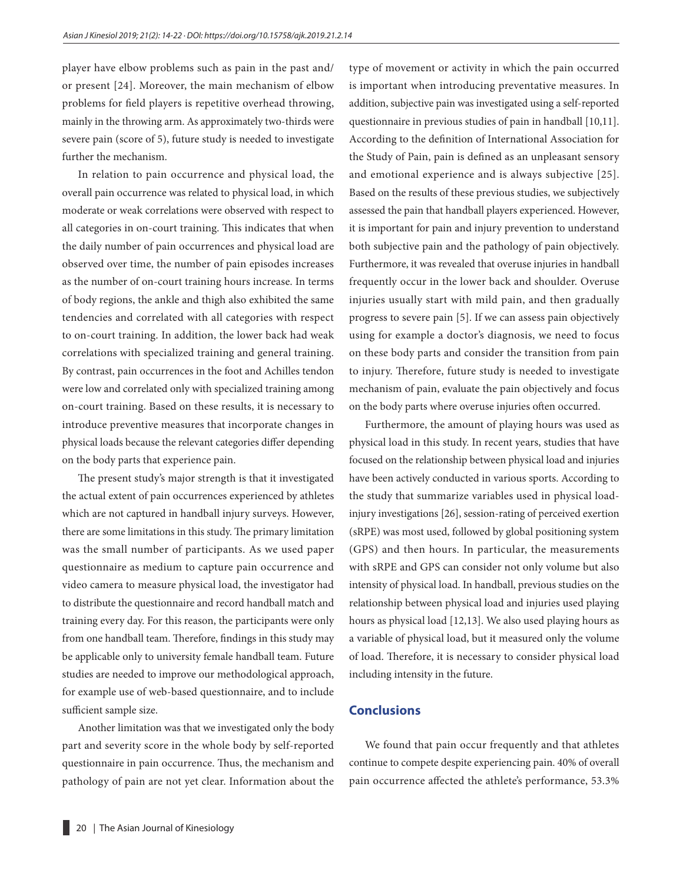player have elbow problems such as pain in the past and/ or present [24]. Moreover, the main mechanism of elbow problems for field players is repetitive overhead throwing, mainly in the throwing arm. As approximately two-thirds were severe pain (score of 5), future study is needed to investigate further the mechanism.

In relation to pain occurrence and physical load, the overall pain occurrence was related to physical load, in which moderate or weak correlations were observed with respect to all categories in on-court training. This indicates that when the daily number of pain occurrences and physical load are observed over time, the number of pain episodes increases as the number of on-court training hours increase. In terms of body regions, the ankle and thigh also exhibited the same tendencies and correlated with all categories with respect to on-court training. In addition, the lower back had weak correlations with specialized training and general training. By contrast, pain occurrences in the foot and Achilles tendon were low and correlated only with specialized training among on-court training. Based on these results, it is necessary to introduce preventive measures that incorporate changes in physical loads because the relevant categories differ depending on the body parts that experience pain.

The present study's major strength is that it investigated the actual extent of pain occurrences experienced by athletes which are not captured in handball injury surveys. However, there are some limitations in this study. The primary limitation was the small number of participants. As we used paper questionnaire as medium to capture pain occurrence and video camera to measure physical load, the investigator had to distribute the questionnaire and record handball match and training every day. For this reason, the participants were only from one handball team. Therefore, findings in this study may be applicable only to university female handball team. Future studies are needed to improve our methodological approach, for example use of web-based questionnaire, and to include sufficient sample size.

Another limitation was that we investigated only the body part and severity score in the whole body by self-reported questionnaire in pain occurrence. Thus, the mechanism and pathology of pain are not yet clear. Information about the type of movement or activity in which the pain occurred is important when introducing preventative measures. In addition, subjective pain was investigated using a self-reported questionnaire in previous studies of pain in handball [10,11]. According to the definition of International Association for the Study of Pain, pain is defined as an unpleasant sensory and emotional experience and is always subjective [25]. Based on the results of these previous studies, we subjectively assessed the pain that handball players experienced. However, it is important for pain and injury prevention to understand both subjective pain and the pathology of pain objectively. Furthermore, it was revealed that overuse injuries in handball frequently occur in the lower back and shoulder. Overuse injuries usually start with mild pain, and then gradually progress to severe pain [5]. If we can assess pain objectively using for example a doctor's diagnosis, we need to focus on these body parts and consider the transition from pain to injury. Therefore, future study is needed to investigate mechanism of pain, evaluate the pain objectively and focus on the body parts where overuse injuries often occurred.

Furthermore, the amount of playing hours was used as physical load in this study. In recent years, studies that have focused on the relationship between physical load and injuries have been actively conducted in various sports. According to the study that summarize variables used in physical loadinjury investigations [26], session-rating of perceived exertion (sRPE) was most used, followed by global positioning system (GPS) and then hours. In particular, the measurements with sRPE and GPS can consider not only volume but also intensity of physical load. In handball, previous studies on the relationship between physical load and injuries used playing hours as physical load [12,13]. We also used playing hours as a variable of physical load, but it measured only the volume of load. Therefore, it is necessary to consider physical load including intensity in the future.

## **Conclusions**

We found that pain occur frequently and that athletes continue to compete despite experiencing pain. 40% of overall pain occurrence affected the athlete's performance, 53.3%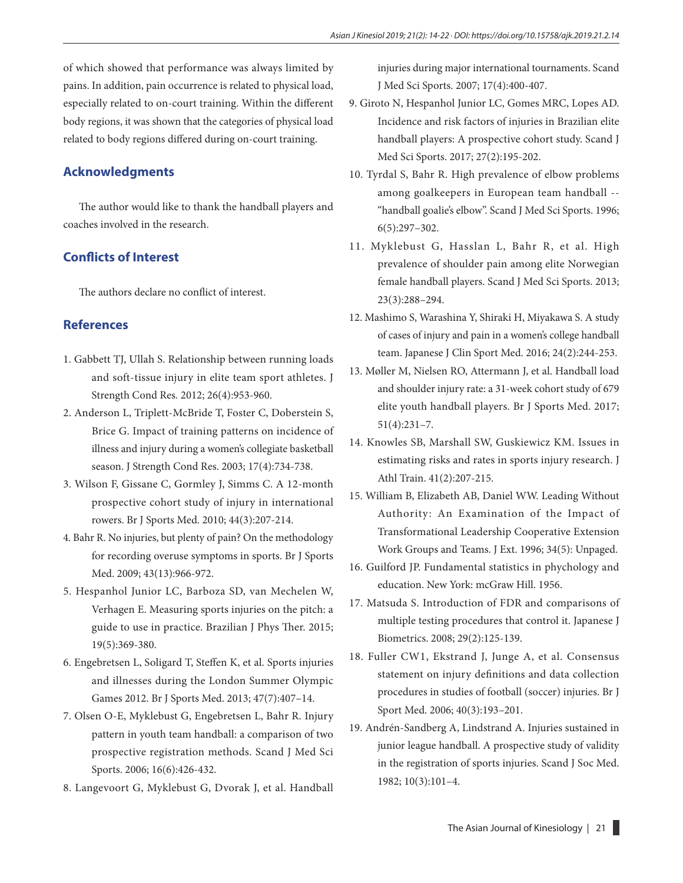of which showed that performance was always limited by pains. In addition, pain occurrence is related to physical load, especially related to on-court training. Within the different body regions, it was shown that the categories of physical load related to body regions differed during on-court training.

## **Acknowledgments**

The author would like to thank the handball players and coaches involved in the research.

## **Conflicts of Interest**

The authors declare no conflict of interest.

## **References**

- 1. Gabbett TJ, Ullah S. Relationship between running loads and soft-tissue injury in elite team sport athletes. J Strength Cond Res*.* 2012; 26(4):953-960.
- 2. Anderson L, Triplett-McBride T, Foster C, Doberstein S, Brice G. Impact of training patterns on incidence of illness and injury during a women's collegiate basketball season. J Strength Cond Res. 2003; 17(4):734-738.
- 3. Wilson F, Gissane C, Gormley J, Simms C. A 12-month prospective cohort study of injury in international rowers. Br J Sports Med. 2010; 44(3):207-214.
- 4. Bahr R. No injuries, but plenty of pain? On the methodology for recording overuse symptoms in sports. Br J Sports Med. 2009; 43(13):966-972.
- 5. Hespanhol Junior LC, Barboza SD, van Mechelen W, Verhagen E. Measuring sports injuries on the pitch: a guide to use in practice. Brazilian J Phys Ther. 2015; 19(5):369-380.
- 6. Engebretsen L, Soligard T, Steffen K, et al. Sports injuries and illnesses during the London Summer Olympic Games 2012. Br J Sports Med. 2013; 47(7):407–14.
- 7. Olsen O-E, Myklebust G, Engebretsen L, Bahr R. Injury pattern in youth team handball: a comparison of two prospective registration methods. Scand J Med Sci Sports. 2006; 16(6):426-432.
- 8. Langevoort G, Myklebust G, Dvorak J, et al. Handball

injuries during major international tournaments. Scand J Med Sci Sports. 2007; 17(4):400-407.

- 9. Giroto N, Hespanhol Junior LC, Gomes MRC, Lopes AD. Incidence and risk factors of injuries in Brazilian elite handball players: A prospective cohort study. Scand J Med Sci Sports. 2017; 27(2):195-202.
- 10. Tyrdal S, Bahr R. High prevalence of elbow problems among goalkeepers in European team handball -- "handball goalie's elbow". Scand J Med Sci Sports. 1996; 6(5):297–302.
- 11. Myklebust G, Hasslan L, Bahr R, et al. High prevalence of shoulder pain among elite Norwegian female handball players. Scand J Med Sci Sports. 2013; 23(3):288–294.
- 12. Mashimo S, Warashina Y, Shiraki H, Miyakawa S. A study of cases of injury and pain in a women's college handball team. Japanese J Clin Sport Med. 2016; 24(2):244-253.
- 13. Møller M, Nielsen RO, Attermann J, et al. Handball load and shoulder injury rate: a 31-week cohort study of 679 elite youth handball players. Br J Sports Med. 2017; 51(4):231–7.
- 14. Knowles SB, Marshall SW, Guskiewicz KM. Issues in estimating risks and rates in sports injury research. J Athl Train. 41(2):207-215.
- 15. William B, Elizabeth AB, Daniel WW. Leading Without Authority: An Examination of the Impact of Transformational Leadership Cooperative Extension Work Groups and Teams. J Ext. 1996; 34(5): Unpaged.
- 16. Guilford JP. Fundamental statistics in phychology and education. New York: mcGraw Hill. 1956.
- 17. Matsuda S. Introduction of FDR and comparisons of multiple testing procedures that control it. Japanese J Biometrics. 2008; 29(2):125-139.
- 18. Fuller CW1, Ekstrand J, Junge A, et al. Consensus statement on injury definitions and data collection procedures in studies of football (soccer) injuries. Br J Sport Med. 2006; 40(3):193–201.
- 19. Andrén-Sandberg A, Lindstrand A. Injuries sustained in junior league handball. A prospective study of validity in the registration of sports injuries. Scand J Soc Med. 1982; 10(3):101–4.